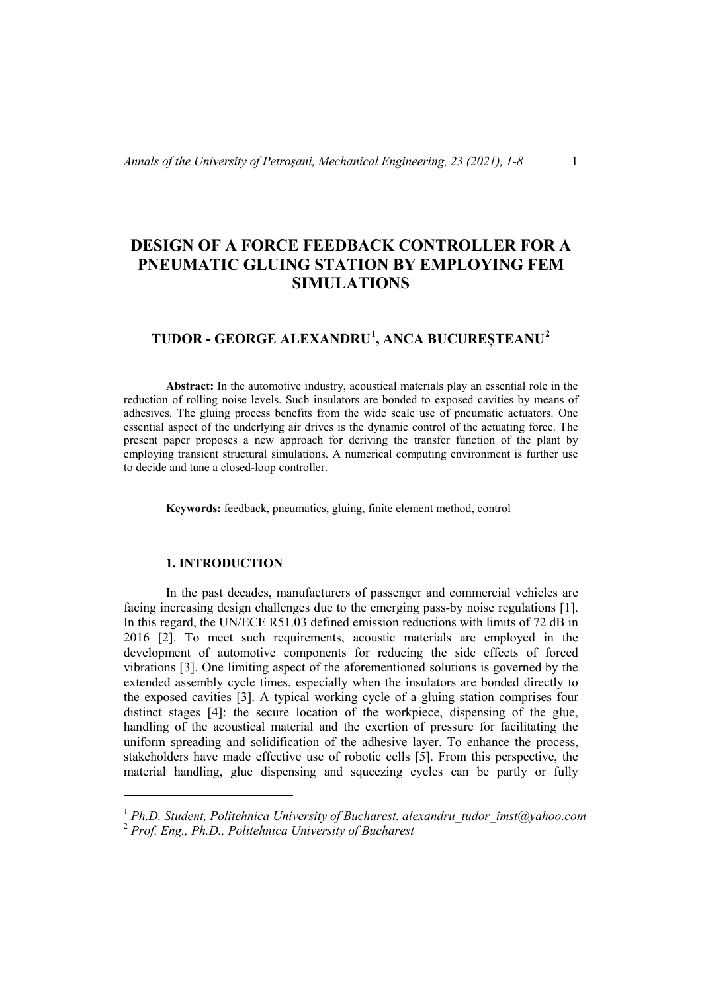# **DESIGN OF A FORCE FEEDBACK CONTROLLER FOR A PNEUMATIC GLUING STATION BY EMPLOYING FEM SIMULATIONS**

## **TUDOR - GEORGE ALEXANDRU[1](#page-0-0) , ANCA BUCUREȘTEANU[2](#page-0-1)**

**Abstract:** In the automotive industry, acoustical materials play an essential role in the reduction of rolling noise levels. Such insulators are bonded to exposed cavities by means of adhesives. The gluing process benefits from the wide scale use of pneumatic actuators. One essential aspect of the underlying air drives is the dynamic control of the actuating force. The present paper proposes a new approach for deriving the transfer function of the plant by employing transient structural simulations. A numerical computing environment is further use to decide and tune a closed-loop controller.

**Keywords:** feedback, pneumatics, gluing, finite element method, control

## **1. INTRODUCTION**

 $\overline{a}$ 

In the past decades, manufacturers of passenger and commercial vehicles are facing increasing design challenges due to the emerging pass-by noise regulations [1]. In this regard, the UN/ECE R51.03 defined emission reductions with limits of 72 dB in 2016 [2]. To meet such requirements, acoustic materials are employed in the development of automotive components for reducing the side effects of forced vibrations [3]. One limiting aspect of the aforementioned solutions is governed by the extended assembly cycle times, especially when the insulators are bonded directly to the exposed cavities [3]. A typical working cycle of a gluing station comprises four distinct stages [4]: the secure location of the workpiece, dispensing of the glue, handling of the acoustical material and the exertion of pressure for facilitating the uniform spreading and solidification of the adhesive layer. To enhance the process, stakeholders have made effective use of robotic cells [5]. From this perspective, the material handling, glue dispensing and squeezing cycles can be partly or fully

<span id="page-0-1"></span><span id="page-0-0"></span><sup>1</sup> *Ph.D. Student, Politehnica University of Bucharest. alexandru\_tudor\_imst@yahoo.com* <sup>2</sup> *Prof. Eng., Ph.D., Politehnica University of Bucharest*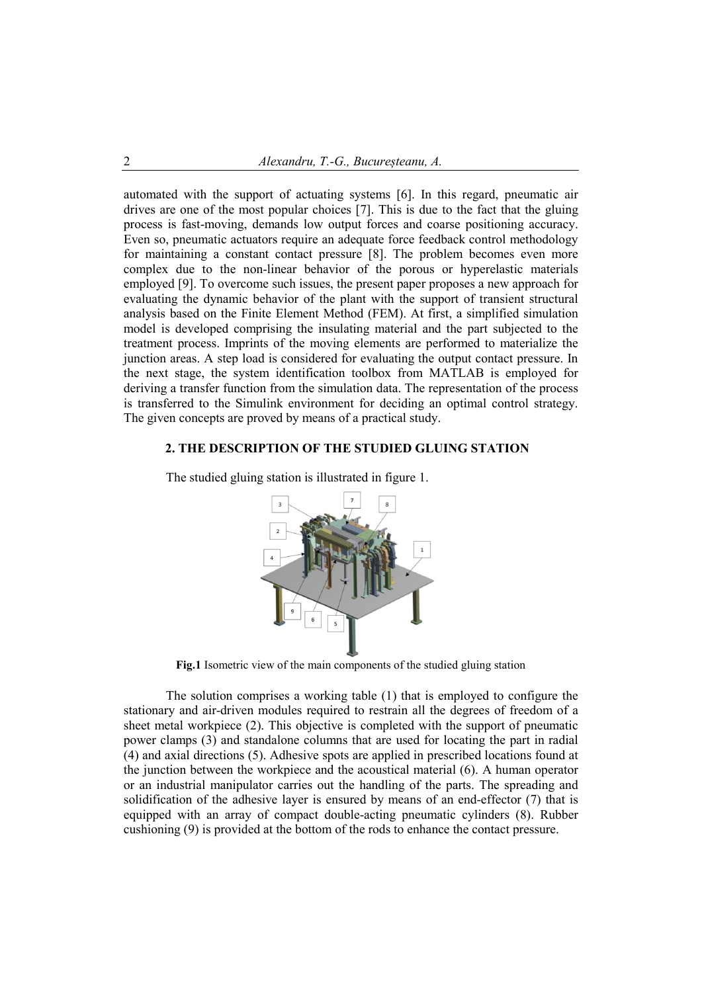automated with the support of actuating systems [6]. In this regard, pneumatic air drives are one of the most popular choices [7]. This is due to the fact that the gluing process is fast-moving, demands low output forces and coarse positioning accuracy. Even so, pneumatic actuators require an adequate force feedback control methodology for maintaining a constant contact pressure [8]. The problem becomes even more complex due to the non-linear behavior of the porous or hyperelastic materials employed [9]. To overcome such issues, the present paper proposes a new approach for evaluating the dynamic behavior of the plant with the support of transient structural analysis based on the Finite Element Method (FEM). At first, a simplified simulation model is developed comprising the insulating material and the part subjected to the treatment process. Imprints of the moving elements are performed to materialize the junction areas. A step load is considered for evaluating the output contact pressure. In the next stage, the system identification toolbox from MATLAB is employed for deriving a transfer function from the simulation data. The representation of the process is transferred to the Simulink environment for deciding an optimal control strategy. The given concepts are proved by means of a practical study.

### **2. THE DESCRIPTION OF THE STUDIED GLUING STATION**



The studied gluing station is illustrated in figure 1.

**Fig.1** Isometric view of the main components of the studied gluing station

The solution comprises a working table (1) that is employed to configure the stationary and air-driven modules required to restrain all the degrees of freedom of a sheet metal workpiece (2). This objective is completed with the support of pneumatic power clamps (3) and standalone columns that are used for locating the part in radial (4) and axial directions (5). Adhesive spots are applied in prescribed locations found at the junction between the workpiece and the acoustical material (6). A human operator or an industrial manipulator carries out the handling of the parts. The spreading and solidification of the adhesive layer is ensured by means of an end-effector (7) that is equipped with an array of compact double-acting pneumatic cylinders (8). Rubber cushioning (9) is provided at the bottom of the rods to enhance the contact pressure.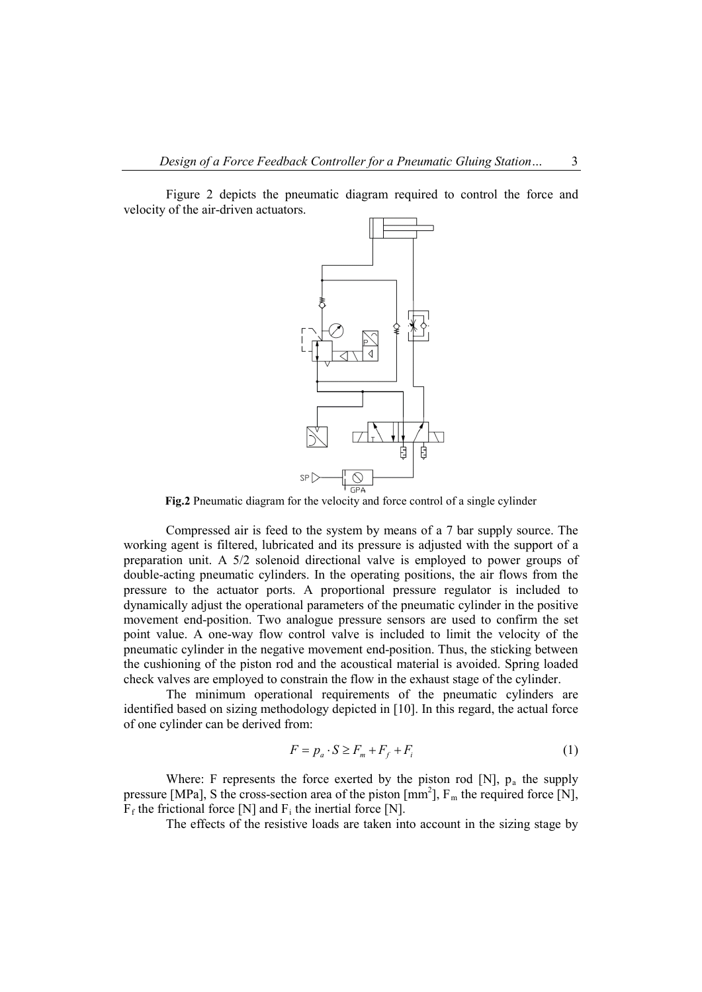Figure 2 depicts the pneumatic diagram required to control the force and velocity of the air-driven actuators.



**Fig.2** Pneumatic diagram for the velocity and force control of a single cylinder

Compressed air is feed to the system by means of a 7 bar supply source. The working agent is filtered, lubricated and its pressure is adjusted with the support of a preparation unit. A 5/2 solenoid directional valve is employed to power groups of double-acting pneumatic cylinders. In the operating positions, the air flows from the pressure to the actuator ports. A proportional pressure regulator is included to dynamically adjust the operational parameters of the pneumatic cylinder in the positive movement end-position. Two analogue pressure sensors are used to confirm the set point value. A one-way flow control valve is included to limit the velocity of the pneumatic cylinder in the negative movement end-position. Thus, the sticking between the cushioning of the piston rod and the acoustical material is avoided. Spring loaded check valves are employed to constrain the flow in the exhaust stage of the cylinder.

The minimum operational requirements of the pneumatic cylinders are identified based on sizing methodology depicted in [10]. In this regard, the actual force of one cylinder can be derived from:

$$
F = p_a \cdot S \ge F_m + F_f + F_i \tag{1}
$$

Where: F represents the force exerted by the piston rod [N],  $p_a$  the supply pressure [MPa], S the cross-section area of the piston  $[mm^2]$ ,  $F_m$  the required force [N],  $F_f$  the frictional force [N] and  $F_i$  the inertial force [N].

The effects of the resistive loads are taken into account in the sizing stage by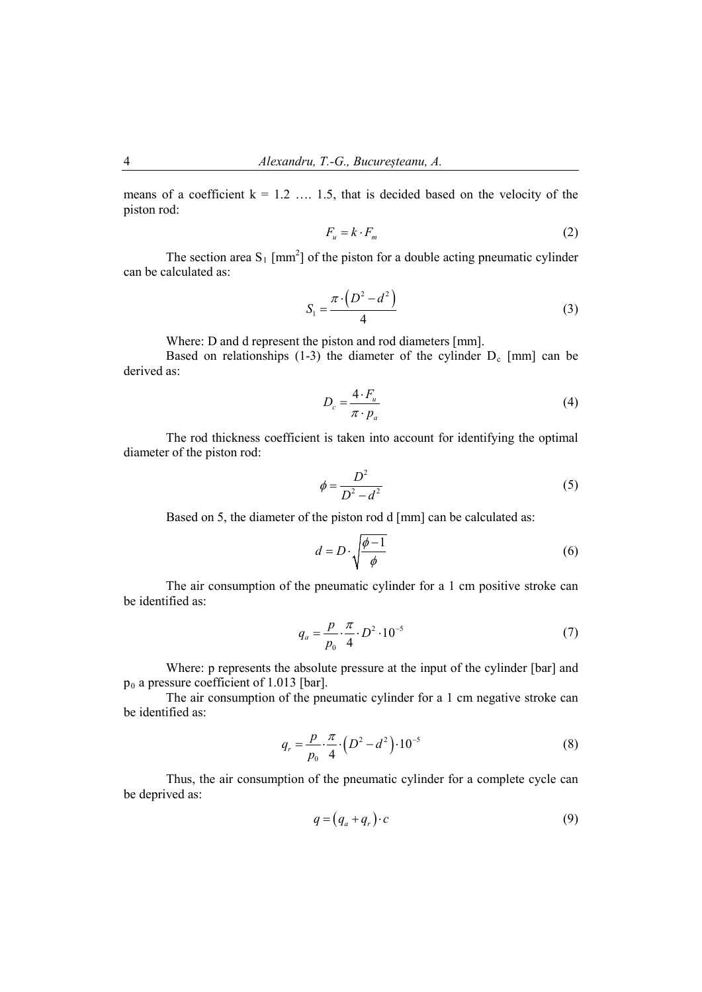means of a coefficient  $k = 1.2$  ... 1.5, that is decided based on the velocity of the piston rod:

$$
F_u = k \cdot F_m \tag{2}
$$

The section area  $S_1$  [mm<sup>2</sup>] of the piston for a double acting pneumatic cylinder can be calculated as:

$$
S_1 = \frac{\pi \cdot \left(D^2 - d^2\right)}{4} \tag{3}
$$

Where: D and d represent the piston and rod diameters [mm].

Based on relationships  $(1-3)$  the diameter of the cylinder  $D_c$  [mm] can be derived as:

$$
D_c = \frac{4 \cdot F_u}{\pi \cdot p_a} \tag{4}
$$

The rod thickness coefficient is taken into account for identifying the optimal diameter of the piston rod:

$$
\phi = \frac{D^2}{D^2 - d^2} \tag{5}
$$

Based on 5, the diameter of the piston rod d [mm] can be calculated as:

$$
d = D \cdot \sqrt{\frac{\phi - 1}{\phi}} \tag{6}
$$

The air consumption of the pneumatic cylinder for a 1 cm positive stroke can be identified as:

$$
q_a = \frac{p}{p_0} \cdot \frac{\pi}{4} \cdot D^2 \cdot 10^{-5} \tag{7}
$$

Where: p represents the absolute pressure at the input of the cylinder [bar] and  $p_0$  a pressure coefficient of 1.013 [bar].

The air consumption of the pneumatic cylinder for a 1 cm negative stroke can be identified as:

$$
q_r = \frac{p}{p_0} \cdot \frac{\pi}{4} \cdot \left( D^2 - d^2 \right) \cdot 10^{-5} \tag{8}
$$

Thus, the air consumption of the pneumatic cylinder for a complete cycle can be deprived as:

$$
q = (q_a + q_r) \cdot c \tag{9}
$$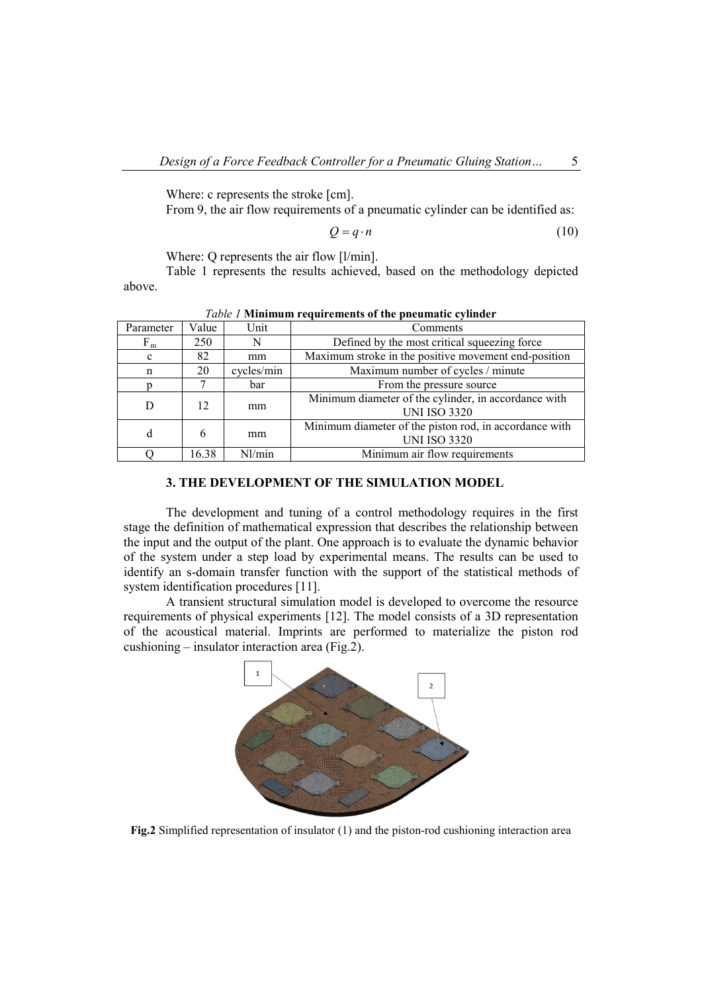Where: c represents the stroke [cm].

From 9, the air flow requirements of a pneumatic cylinder can be identified as:

$$
Q = q \cdot n \tag{10}
$$

Where: Q represents the air flow [l/min].

Table 1 represents the results achieved, based on the methodology depicted above.

| Parameter | Value | Unit       | Comments                                                                      |  |  |
|-----------|-------|------------|-------------------------------------------------------------------------------|--|--|
| $F_m$     | 250   | N          | Defined by the most critical squeezing force                                  |  |  |
| c         | 82    | mm         | Maximum stroke in the positive movement end-position                          |  |  |
| n         | 20    | cycles/min | Maximum number of cycles / minute                                             |  |  |
|           |       | bar        | From the pressure source                                                      |  |  |
|           | 12    | mm         | Minimum diameter of the cylinder, in accordance with<br><b>UNI ISO 3320</b>   |  |  |
| d         | 6     | mm         | Minimum diameter of the piston rod, in accordance with<br><b>UNI ISO 3320</b> |  |  |
|           | 16.38 | Nl/min     | Minimum air flow requirements                                                 |  |  |

|  | Table 1 Minimum requirements of the pneumatic cylinder |  |  |
|--|--------------------------------------------------------|--|--|
|  |                                                        |  |  |

## **3. THE DEVELOPMENT OF THE SIMULATION MODEL**

The development and tuning of a control methodology requires in the first stage the definition of mathematical expression that describes the relationship between the input and the output of the plant. One approach is to evaluate the dynamic behavior of the system under a step load by experimental means. The results can be used to identify an s-domain transfer function with the support of the statistical methods of system identification procedures [11].

A transient structural simulation model is developed to overcome the resource requirements of physical experiments [12]. The model consists of a 3D representation of the acoustical material. Imprints are performed to materialize the piston rod cushioning – insulator interaction area (Fig.2).



**Fig.2** Simplified representation of insulator (1) and the piston-rod cushioning interaction area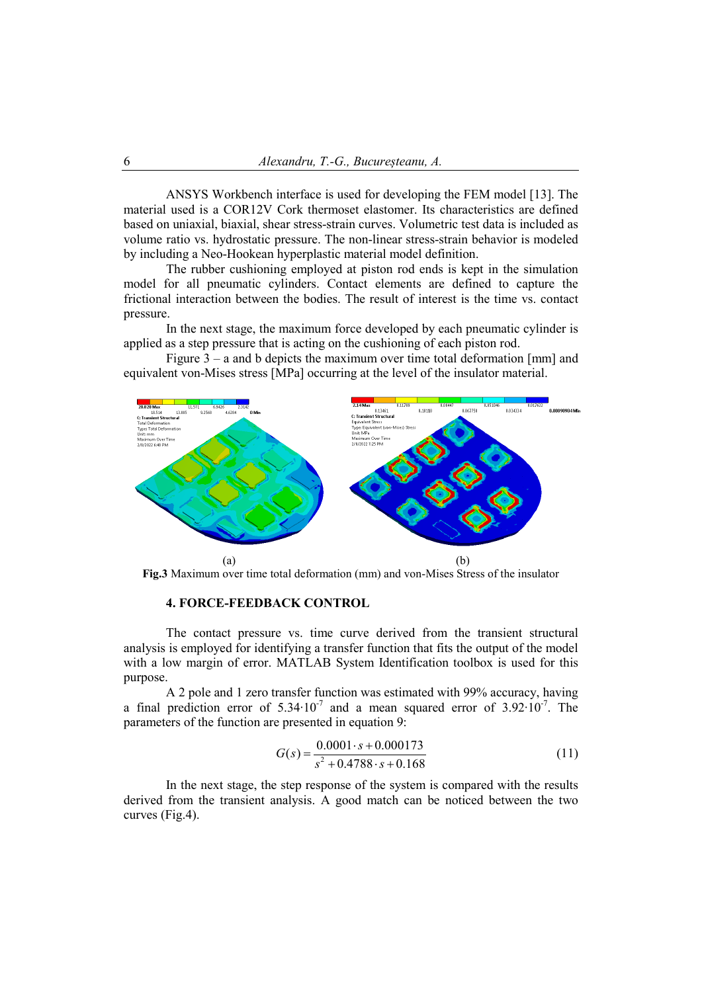ANSYS Workbench interface is used for developing the FEM model [13]. The material used is a COR12V Cork thermoset elastomer. Its characteristics are defined based on uniaxial, biaxial, shear stress-strain curves. Volumetric test data is included as volume ratio vs. hydrostatic pressure. The non-linear stress-strain behavior is modeled by including a Neo-Hookean hyperplastic material model definition.

The rubber cushioning employed at piston rod ends is kept in the simulation model for all pneumatic cylinders. Contact elements are defined to capture the frictional interaction between the bodies. The result of interest is the time vs. contact pressure.

In the next stage, the maximum force developed by each pneumatic cylinder is applied as a step pressure that is acting on the cushioning of each piston rod.

Figure  $3 - a$  and b depicts the maximum over time total deformation [mm] and equivalent von-Mises stress [MPa] occurring at the level of the insulator material.



**Fig.3** Maximum over time total deformation (mm) and von-Mises Stress of the insulator

## **4. FORCE-FEEDBACK CONTROL**

The contact pressure vs. time curve derived from the transient structural analysis is employed for identifying a transfer function that fits the output of the model with a low margin of error. MATLAB System Identification toolbox is used for this purpose.

A 2 pole and 1 zero transfer function was estimated with 99% accuracy, having a final prediction error of 5.34⋅10<sup>-7</sup> and a mean squared error of 3.92⋅10<sup>-7</sup>. The parameters of the function are presented in equation 9:

$$
G(s) = \frac{0.0001 \cdot s + 0.000173}{s^2 + 0.4788 \cdot s + 0.168}
$$
 (11)

In the next stage, the step response of the system is compared with the results derived from the transient analysis. A good match can be noticed between the two curves (Fig.4).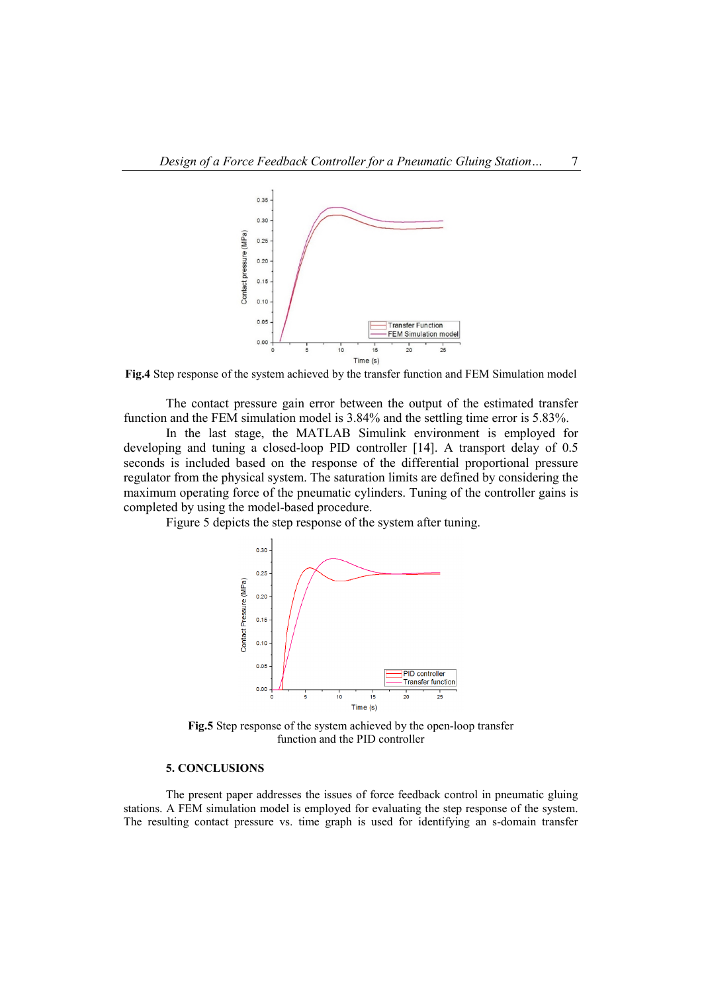

**Fig.4** Step response of the system achieved by the transfer function and FEM Simulation model

The contact pressure gain error between the output of the estimated transfer function and the FEM simulation model is 3.84% and the settling time error is 5.83%.

In the last stage, the MATLAB Simulink environment is employed for developing and tuning a closed-loop PID controller [14]. A transport delay of 0.5 seconds is included based on the response of the differential proportional pressure regulator from the physical system. The saturation limits are defined by considering the maximum operating force of the pneumatic cylinders. Tuning of the controller gains is completed by using the model-based procedure.

Figure 5 depicts the step response of the system after tuning.



**Fig.5** Step response of the system achieved by the open-loop transfer function and the PID controller

## **5. CONCLUSIONS**

The present paper addresses the issues of force feedback control in pneumatic gluing stations. A FEM simulation model is employed for evaluating the step response of the system. The resulting contact pressure vs. time graph is used for identifying an s-domain transfer